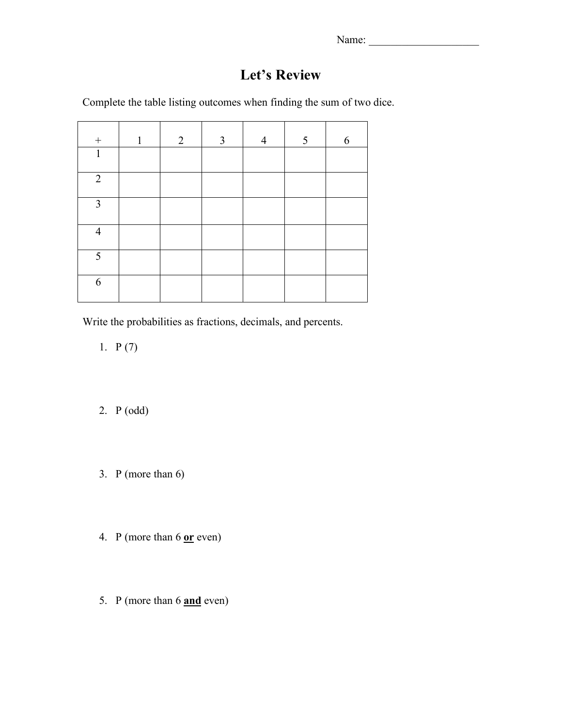Name: \_\_\_\_\_\_\_\_\_\_\_\_\_\_\_\_\_\_\_\_

# **Let's Review**

Complete the table listing outcomes when finding the sum of two dice.

| $\boldsymbol{+}$ | $\mathbf{1}$ | $\overline{2}$ | $\mathfrak{Z}$ | $\overline{4}$ | $5\overline{)}$ | 6 |
|------------------|--------------|----------------|----------------|----------------|-----------------|---|
| $\mathbf{1}$     |              |                |                |                |                 |   |
| $\overline{2}$   |              |                |                |                |                 |   |
| $\overline{3}$   |              |                |                |                |                 |   |
| $\overline{4}$   |              |                |                |                |                 |   |
| 5                |              |                |                |                |                 |   |
| 6                |              |                |                |                |                 |   |

Write the probabilities as fractions, decimals, and percents.

1.  $P(7)$ 

- 2. P (odd)
- 3. P (more than 6)
- 4. P (more than 6 **or** even)
- 5. P (more than 6 **and** even)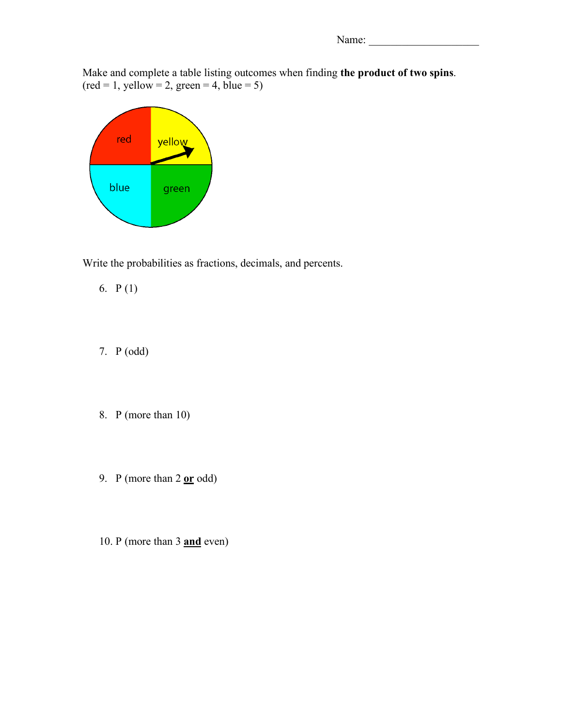Name:

Make and complete a table listing outcomes when finding **the product of two spins**.  $(\text{red} = 1, \text{ yellow} = 2, \text{green} = 4, \text{blue} = 5)$ 



Write the probabilities as fractions, decimals, and percents.

- 6. P (1)
- 7. P (odd)
- 8. P (more than 10)
- 9. P (more than 2 **or** odd)
- 10. P (more than 3 **and** even)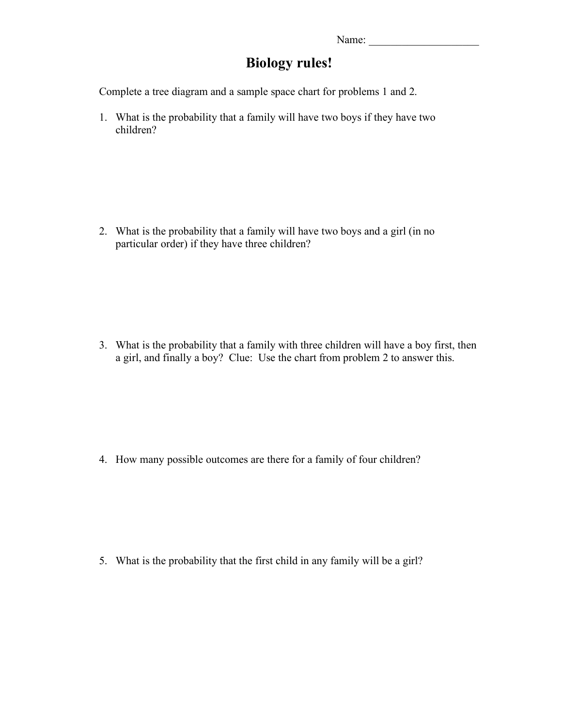### **Biology rules!**

Complete a tree diagram and a sample space chart for problems 1 and 2.

1. What is the probability that a family will have two boys if they have two children?

2. What is the probability that a family will have two boys and a girl (in no particular order) if they have three children?

3. What is the probability that a family with three children will have a boy first, then a girl, and finally a boy? Clue: Use the chart from problem 2 to answer this.

4. How many possible outcomes are there for a family of four children?

5. What is the probability that the first child in any family will be a girl?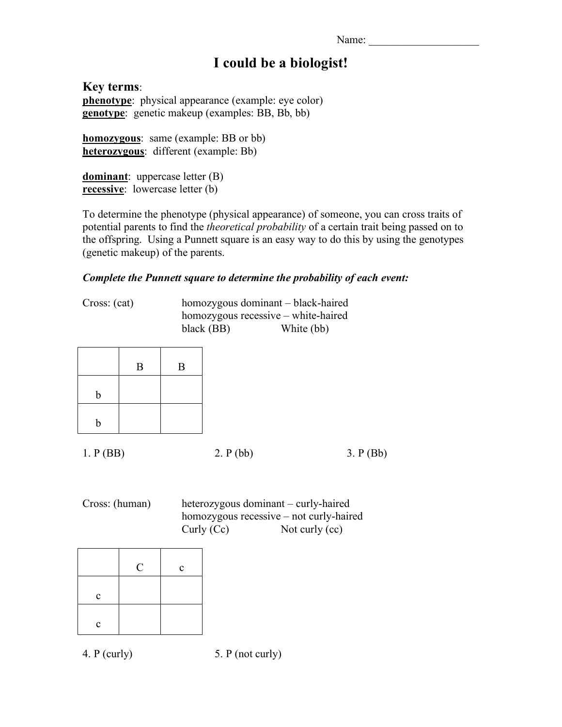Name: \_\_\_\_\_\_\_\_\_\_\_\_\_\_\_\_\_\_\_\_

## **I could be a biologist!**

**Key terms**: **phenotype**: physical appearance (example: eye color) **genotype**: genetic makeup (examples: BB, Bb, bb)

**homozygous**: same (example: BB or bb) **heterozygous**: different (example: Bb)

**dominant**: uppercase letter (B) **recessive**: lowercase letter (b)

To determine the phenotype (physical appearance) of someone, you can cross traits of potential parents to find the *theoretical probability* of a certain trait being passed on to the offspring. Using a Punnett square is an easy way to do this by using the genotypes (genetic makeup) of the parents.

#### *Complete the Punnett square to determine the probability of each event:*

Cross: (cat) homozygous dominant – black-haired homozygous recessive – white-haired black (BB) White (bb)

|             | $\boldsymbol{B}$ | $\mathbf B$ |
|-------------|------------------|-------------|
| b           |                  |             |
| $\mathbf b$ |                  |             |

1. P (BB) 2. P (bb) 3. P (Bb)

Cross: (human) heterozygous dominant – curly-haired homozygous recessive – not curly-haired Curly (Cc) Not curly (cc)

|              | $\mathbf C$ | $\mathbf c$ |
|--------------|-------------|-------------|
| $\mathbf{c}$ |             |             |
| $\mathbf{C}$ |             |             |

4. P (curly) 5. P (not curly)